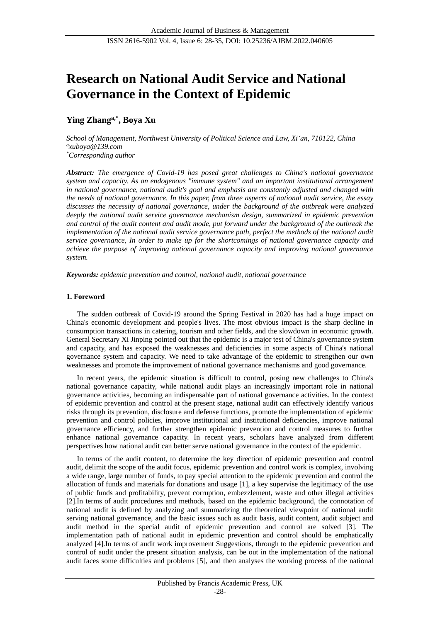# **Research on National Audit Service and National Governance in the Context of Epidemic**

# **Ying Zhanga,\* , Boya Xu**

*School of Management, Northwest University of Political Science and Law, Xi'an, 710122, China a xuboya@139.com \*Corresponding author*

*Abstract: The emergence of Covid-19 has posed great challenges to China's national governance system and capacity. As an endogenous "immune system" and an important institutional arrangement in national governance, national audit's goal and emphasis are constantly adjusted and changed with the needs of national governance. In this paper, from three aspects of national audit service, the essay discusses the necessity of national governance, under the background of the outbreak were analyzed deeply the national audit service governance mechanism design, summarized in epidemic prevention and control of the audit content and audit mode, put forward under the background of the outbreak the implementation of the national audit service governance path, perfect the methods of the national audit service governance, In order to make up for the shortcomings of national governance capacity and achieve the purpose of improving national governance capacity and improving national governance system.*

*Keywords: epidemic prevention and control, national audit, national governance*

## **1. Foreword**

The sudden outbreak of Covid-19 around the Spring Festival in 2020 has had a huge impact on China's economic development and people's lives. The most obvious impact is the sharp decline in consumption transactions in catering, tourism and other fields, and the slowdown in economic growth. General Secretary Xi Jinping pointed out that the epidemic is a major test of China's governance system and capacity, and has exposed the weaknesses and deficiencies in some aspects of China's national governance system and capacity. We need to take advantage of the epidemic to strengthen our own weaknesses and promote the improvement of national governance mechanisms and good governance.

In recent years, the epidemic situation is difficult to control, posing new challenges to China's national governance capacity, while national audit plays an increasingly important role in national governance activities, becoming an indispensable part of national governance activities. In the context of epidemic prevention and control at the present stage, national audit can effectively identify various risks through its prevention, disclosure and defense functions, promote the implementation of epidemic prevention and control policies, improve institutional and institutional deficiencies, improve national governance efficiency, and further strengthen epidemic prevention and control measures to further enhance national governance capacity. In recent years, scholars have analyzed from different perspectives how national audit can better serve national governance in the context of the epidemic.

In terms of the audit content, to determine the key direction of epidemic prevention and control audit, delimit the scope of the audit focus, epidemic prevention and control work is complex, involving a wide range, large number of funds, to pay special attention to the epidemic prevention and control the allocation of funds and materials for donations and usage [1], a key supervise the legitimacy of the use of public funds and profitability, prevent corruption, embezzlement, waste and other illegal activities [2].In terms of audit procedures and methods, based on the epidemic background, the connotation of national audit is defined by analyzing and summarizing the theoretical viewpoint of national audit serving national governance, and the basic issues such as audit basis, audit content, audit subject and audit method in the special audit of epidemic prevention and control are solved [3]. The implementation path of national audit in epidemic prevention and control should be emphatically analyzed [4].In terms of audit work improvement Suggestions, through to the epidemic prevention and control of audit under the present situation analysis, can be out in the implementation of the national audit faces some difficulties and problems [5], and then analyses the working process of the national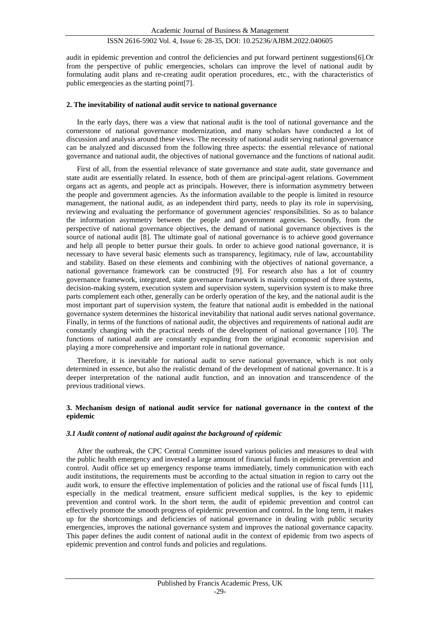audit in epidemic prevention and control the deficiencies and put forward pertinent suggestions[6].Or from the perspective of public emergencies, scholars can improve the level of national audit by formulating audit plans and re-creating audit operation procedures, etc., with the characteristics of public emergencies as the starting point[7].

#### **2. The inevitability of national audit service to national governance**

In the early days, there was a view that national audit is the tool of national governance and the cornerstone of national governance modernization, and many scholars have conducted a lot of discussion and analysis around these views. The necessity of national audit serving national governance can be analyzed and discussed from the following three aspects: the essential relevance of national governance and national audit, the objectives of national governance and the functions of national audit.

First of all, from the essential relevance of state governance and state audit, state governance and state audit are essentially related. In essence, both of them are principal-agent relations. Government organs act as agents, and people act as principals. However, there is information asymmetry between the people and government agencies. As the information available to the people is limited in resource management, the national audit, as an independent third party, needs to play its role in supervising, reviewing and evaluating the performance of government agencies' responsibilities. So as to balance the information asymmetry between the people and government agencies. Secondly, from the perspective of national governance objectives, the demand of national governance objectives is the source of national audit [8]. The ultimate goal of national governance is to achieve good governance and help all people to better pursue their goals. In order to achieve good national governance, it is necessary to have several basic elements such as transparency, legitimacy, rule of law, accountability and stability. Based on these elements and combining with the objectives of national governance, a national governance framework can be constructed [9]. For research also has a lot of country governance framework, integrated, state governance framework is mainly composed of three systems, decision-making system, execution system and supervision system, supervision system is to make three parts complement each other, generally can be orderly operation of the key, and the national audit is the most important part of supervision system, the feature that national audit is embedded in the national governance system determines the historical inevitability that national audit serves national governance. Finally, in terms of the functions of national audit, the objectives and requirements of national audit are constantly changing with the practical needs of the development of national governance [10]. The functions of national audit are constantly expanding from the original economic supervision and playing a more comprehensive and important role in national governance.

Therefore, it is inevitable for national audit to serve national governance, which is not only determined in essence, but also the realistic demand of the development of national governance. It is a deeper interpretation of the national audit function, and an innovation and transcendence of the previous traditional views.

#### **3. Mechanism design of national audit service for national governance in the context of the epidemic**

#### *3.1 Audit content of national audit against the background of epidemic*

After the outbreak, the CPC Central Committee issued various policies and measures to deal with the public health emergency and invested a large amount of financial funds in epidemic prevention and control. Audit office set up emergency response teams immediately, timely communication with each audit institutions, the requirements must be according to the actual situation in region to carry out the audit work, to ensure the effective implementation of policies and the rational use of fiscal funds [11], especially in the medical treatment, ensure sufficient medical supplies, is the key to epidemic prevention and control work. In the short term, the audit of epidemic prevention and control can effectively promote the smooth progress of epidemic prevention and control. In the long term, it makes up for the shortcomings and deficiencies of national governance in dealing with public security emergencies, improves the national governance system and improves the national governance capacity. This paper defines the audit content of national audit in the context of epidemic from two aspects of epidemic prevention and control funds and policies and regulations.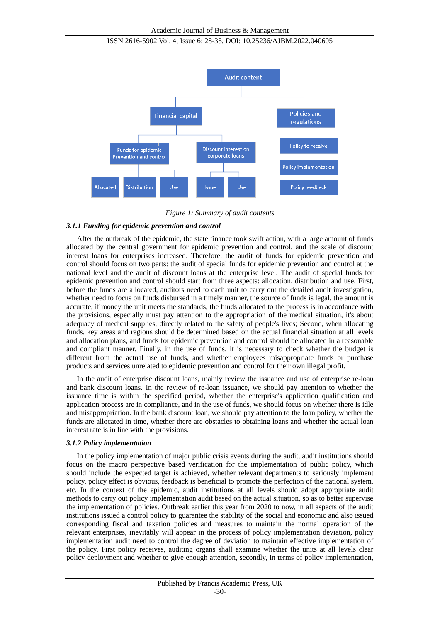

*Figure 1: Summary of audit contents*

### *3.1.1 Funding for epidemic prevention and control*

After the outbreak of the epidemic, the state finance took swift action, with a large amount of funds allocated by the central government for epidemic prevention and control, and the scale of discount interest loans for enterprises increased. Therefore, the audit of funds for epidemic prevention and control should focus on two parts: the audit of special funds for epidemic prevention and control at the national level and the audit of discount loans at the enterprise level. The audit of special funds for epidemic prevention and control should start from three aspects: allocation, distribution and use. First, before the funds are allocated, auditors need to each unit to carry out the detailed audit investigation, whether need to focus on funds disbursed in a timely manner, the source of funds is legal, the amount is accurate, if money the unit meets the standards, the funds allocated to the process is in accordance with the provisions, especially must pay attention to the appropriation of the medical situation, it's about adequacy of medical supplies, directly related to the safety of people's lives; Second, when allocating funds, key areas and regions should be determined based on the actual financial situation at all levels and allocation plans, and funds for epidemic prevention and control should be allocated in a reasonable and compliant manner. Finally, in the use of funds, it is necessary to check whether the budget is different from the actual use of funds, and whether employees misappropriate funds or purchase products and services unrelated to epidemic prevention and control for their own illegal profit.

In the audit of enterprise discount loans, mainly review the issuance and use of enterprise re-loan and bank discount loans. In the review of re-loan issuance, we should pay attention to whether the issuance time is within the specified period, whether the enterprise's application qualification and application process are in compliance, and in the use of funds, we should focus on whether there is idle and misappropriation. In the bank discount loan, we should pay attention to the loan policy, whether the funds are allocated in time, whether there are obstacles to obtaining loans and whether the actual loan interest rate is in line with the provisions.

#### *3.1.2 Policy implementation*

In the policy implementation of major public crisis events during the audit, audit institutions should focus on the macro perspective based verification for the implementation of public policy, which should include the expected target is achieved, whether relevant departments to seriously implement policy, policy effect is obvious, feedback is beneficial to promote the perfection of the national system, etc. In the context of the epidemic, audit institutions at all levels should adopt appropriate audit methods to carry out policy implementation audit based on the actual situation, so as to better supervise the implementation of policies. Outbreak earlier this year from 2020 to now, in all aspects of the audit institutions issued a control policy to guarantee the stability of the social and economic and also issued corresponding fiscal and taxation policies and measures to maintain the normal operation of the relevant enterprises, inevitably will appear in the process of policy implementation deviation, policy implementation audit need to control the degree of deviation to maintain effective implementation of the policy. First policy receives, auditing organs shall examine whether the units at all levels clear policy deployment and whether to give enough attention, secondly, in terms of policy implementation,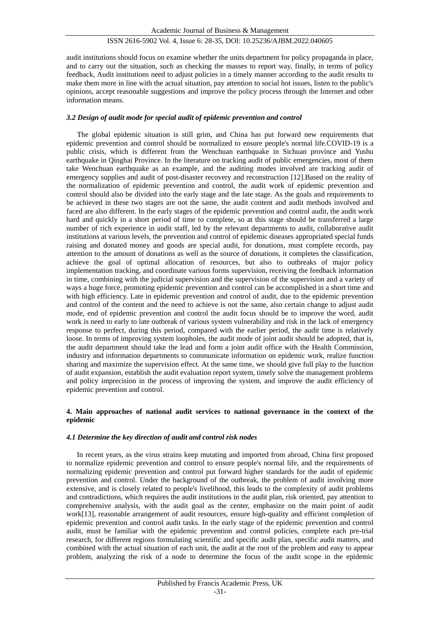audit institutions should focus on examine whether the units department for policy propaganda in place, and to carry out the situation, such as checking the masses to report way, finally, in terms of policy feedback, Audit institutions need to adjust policies in a timely manner according to the audit results to make them more in line with the actual situation, pay attention to social hot issues, listen to the public's opinions, accept reasonable suggestions and improve the policy process through the Internet and other information means.

### *3.2 Design of audit mode for special audit of epidemic prevention and control*

The global epidemic situation is still grim, and China has put forward new requirements that epidemic prevention and control should be normalized to ensure people's normal life.COVID-19 is a public crisis, which is different from the Wenchuan earthquake in Sichuan province and Yushu earthquake in Qinghai Province. In the literature on tracking audit of public emergencies, most of them take Wenchuan earthquake as an example, and the auditing modes involved are tracking audit of emergency supplies and audit of post-disaster recovery and reconstruction [12].Based on the reality of the normalization of epidemic prevention and control, the audit work of epidemic prevention and control should also be divided into the early stage and the late stage. As the goals and requirements to be achieved in these two stages are not the same, the audit content and audit methods involved and faced are also different. In the early stages of the epidemic prevention and control audit, the audit work hard and quickly in a short period of time to complete, so at this stage should be transferred a large number of rich experience in audit staff, led by the relevant departments to audit, collaborative audit institutions at various levels, the prevention and control of epidemic diseases appropriated special funds raising and donated money and goods are special audit, for donations, must complete records, pay attention to the amount of donations as well as the source of donations, it completes the classification, achieve the goal of optimal allocation of resources, but also to outbreaks of major policy implementation tracking, and coordinate various forms supervision, receiving the feedback information in time, combining with the judicial supervision and the supervision of the supervision and a variety of ways a huge force, promoting epidemic prevention and control can be accomplished in a short time and with high efficiency. Late in epidemic prevention and control of audit, due to the epidemic prevention and control of the content and the need to achieve is not the same, also certain change to adjust audit mode, end of epidemic prevention and control the audit focus should be to improve the word, audit work is need to early to late outbreak of various system vulnerability and risk in the lack of emergency response to perfect, during this period, compared with the earlier period, the audit time is relatively loose. In terms of improving system loopholes, the audit mode of joint audit should be adopted, that is, the audit department should take the lead and form a joint audit office with the Health Commission, industry and information departments to communicate information on epidemic work, realize function sharing and maximize the supervision effect. At the same time, we should give full play to the function of audit expansion, establish the audit evaluation report system, timely solve the management problems and policy imprecision in the process of improving the system, and improve the audit efficiency of epidemic prevention and control.

### **4. Main approaches of national audit services to national governance in the context of the epidemic**

#### *4.1 Determine the key direction of audit and control risk nodes*

In recent years, as the virus strains keep mutating and imported from abroad, China first proposed to normalize epidemic prevention and control to ensure people's normal life, and the requirements of normalizing epidemic prevention and control put forward higher standards for the audit of epidemic prevention and control. Under the background of the outbreak, the problem of audit involving more extensive, and is closely related to people's livelihood, this leads to the complexity of audit problems and contradictions, which requires the audit institutions in the audit plan, risk oriented, pay attention to comprehensive analysis, with the audit goal as the center, emphasize on the main point of audit work[13], reasonable arrangement of audit resources, ensure high-quality and efficient completion of epidemic prevention and control audit tasks. In the early stage of the epidemic prevention and control audit, must be familiar with the epidemic prevention and control policies, complete each pre-trial research, for different regions formulating scientific and specific audit plan, specific audit matters, and combined with the actual situation of each unit, the audit at the root of the problem and easy to appear problem, analyzing the risk of a node to determine the focus of the audit scope in the epidemic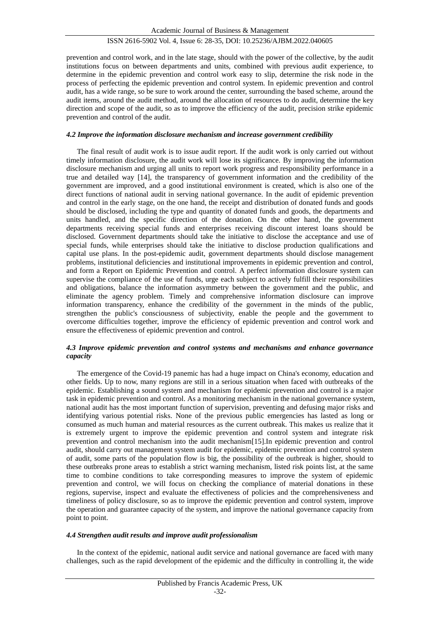prevention and control work, and in the late stage, should with the power of the collective, by the audit institutions focus on between departments and units, combined with previous audit experience, to determine in the epidemic prevention and control work easy to slip, determine the risk node in the process of perfecting the epidemic prevention and control system. In epidemic prevention and control audit, has a wide range, so be sure to work around the center, surrounding the based scheme, around the audit items, around the audit method, around the allocation of resources to do audit, determine the key direction and scope of the audit, so as to improve the efficiency of the audit, precision strike epidemic prevention and control of the audit.

#### *4.2 Improve the information disclosure mechanism and increase government credibility*

The final result of audit work is to issue audit report. If the audit work is only carried out without timely information disclosure, the audit work will lose its significance. By improving the information disclosure mechanism and urging all units to report work progress and responsibility performance in a true and detailed way [14], the transparency of government information and the credibility of the government are improved, and a good institutional environment is created, which is also one of the direct functions of national audit in serving national governance. In the audit of epidemic prevention and control in the early stage, on the one hand, the receipt and distribution of donated funds and goods should be disclosed, including the type and quantity of donated funds and goods, the departments and units handled, and the specific direction of the donation. On the other hand, the government departments receiving special funds and enterprises receiving discount interest loans should be disclosed. Government departments should take the initiative to disclose the acceptance and use of special funds, while enterprises should take the initiative to disclose production qualifications and capital use plans. In the post-epidemic audit, government departments should disclose management problems, institutional deficiencies and institutional improvements in epidemic prevention and control, and form a Report on Epidemic Prevention and control. A perfect information disclosure system can supervise the compliance of the use of funds, urge each subject to actively fulfill their responsibilities and obligations, balance the information asymmetry between the government and the public, and eliminate the agency problem. Timely and comprehensive information disclosure can improve information transparency, enhance the credibility of the government in the minds of the public, strengthen the public's consciousness of subjectivity, enable the people and the government to overcome difficulties together, improve the efficiency of epidemic prevention and control work and ensure the effectiveness of epidemic prevention and control.

#### *4.3 Improve epidemic prevention and control systems and mechanisms and enhance governance capacity*

The emergence of the Covid-19 panemic has had a huge impact on China's economy, education and other fields. Up to now, many regions are still in a serious situation when faced with outbreaks of the epidemic. Establishing a sound system and mechanism for epidemic prevention and control is a major task in epidemic prevention and control. As a monitoring mechanism in the national governance system, national audit has the most important function of supervision, preventing and defusing major risks and identifying various potential risks. None of the previous public emergencies has lasted as long or consumed as much human and material resources as the current outbreak. This makes us realize that it is extremely urgent to improve the epidemic prevention and control system and integrate risk prevention and control mechanism into the audit mechanism[15].In epidemic prevention and control audit, should carry out management system audit for epidemic, epidemic prevention and control system of audit, some parts of the population flow is big, the possibility of the outbreak is higher, should to these outbreaks prone areas to establish a strict warning mechanism, listed risk points list, at the same time to combine conditions to take corresponding measures to improve the system of epidemic prevention and control, we will focus on checking the compliance of material donations in these regions, supervise, inspect and evaluate the effectiveness of policies and the comprehensiveness and timeliness of policy disclosure, so as to improve the epidemic prevention and control system, improve the operation and guarantee capacity of the system, and improve the national governance capacity from point to point.

#### *4.4 Strengthen audit results and improve audit professionalism*

In the context of the epidemic, national audit service and national governance are faced with many challenges, such as the rapid development of the epidemic and the difficulty in controlling it, the wide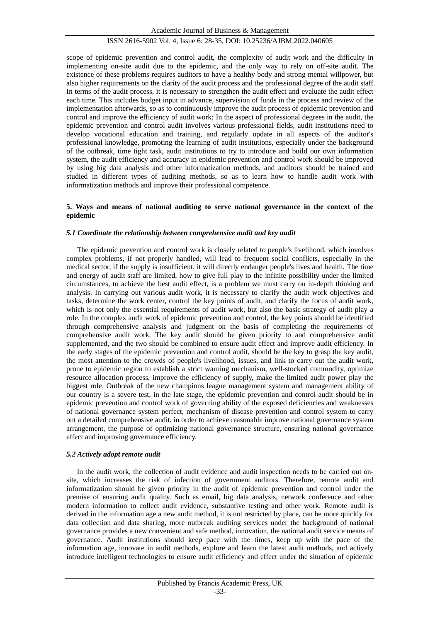scope of epidemic prevention and control audit, the complexity of audit work and the difficulty in implementing on-site audit due to the epidemic, and the only way to rely on off-site audit. The existence of these problems requires auditors to have a healthy body and strong mental willpower, but also higher requirements on the clarity of the audit process and the professional degree of the audit staff. In terms of the audit process, it is necessary to strengthen the audit effect and evaluate the audit effect each time. This includes budget input in advance, supervision of funds in the process and review of the implementation afterwards, so as to continuously improve the audit process of epidemic prevention and control and improve the efficiency of audit work; In the aspect of professional degrees in the audit, the epidemic prevention and control audit involves various professional fields, audit institutions need to develop vocational education and training, and regularly update in all aspects of the auditor's professional knowledge, promoting the learning of audit institutions, especially under the background of the outbreak, time tight task, audit institutions to try to introduce and build our own information system, the audit efficiency and accuracy in epidemic prevention and control work should be improved by using big data analysis and other informatization methods, and auditors should be trained and studied in different types of auditing methods, so as to learn how to handle audit work with informatization methods and improve their professional competence.

#### **5. Ways and means of national auditing to serve national governance in the context of the epidemic**

#### *5.1 Coordinate the relationship between comprehensive audit and key audit*

The epidemic prevention and control work is closely related to people's livelihood, which involves complex problems, if not properly handled, will lead to frequent social conflicts, especially in the medical sector, if the supply is insufficient, it will directly endanger people's lives and health. The time and energy of audit staff are limited, how to give full play to the infinite possibility under the limited circumstances, to achieve the best audit effect, is a problem we must carry on in-depth thinking and analysis. In carrying out various audit work, it is necessary to clarify the audit work objectives and tasks, determine the work center, control the key points of audit, and clarify the focus of audit work, which is not only the essential requirements of audit work, but also the basic strategy of audit play a role. In the complex audit work of epidemic prevention and control, the key points should be identified through comprehensive analysis and judgment on the basis of completing the requirements of comprehensive audit work. The key audit should be given priority to and comprehensive audit supplemented, and the two should be combined to ensure audit effect and improve audit efficiency. In the early stages of the epidemic prevention and control audit, should be the key to grasp the key audit, the most attention to the crowds of people's livelihood, issues, and link to carry out the audit work, prone to epidemic region to establish a strict warning mechanism, well-stocked commodity, optimize resource allocation process, improve the efficiency of supply, make the limited audit power play the biggest role. Outbreak of the new champions league management system and management ability of our country is a severe test, in the late stage, the epidemic prevention and control audit should be in epidemic prevention and control work of governing ability of the exposed deficiencies and weaknesses of national governance system perfect, mechanism of disease prevention and control system to carry out a detailed comprehensive audit, in order to achieve reasonable improve national governance system arrangement, the purpose of optimizing national governance structure, ensuring national governance effect and improving governance efficiency.

#### *5.2 Actively adopt remote audit*

In the audit work, the collection of audit evidence and audit inspection needs to be carried out onsite, which increases the risk of infection of government auditors. Therefore, remote audit and informatization should be given priority in the audit of epidemic prevention and control under the premise of ensuring audit quality. Such as email, big data analysis, network conference and other modern information to collect audit evidence, substantive testing and other work. Remote audit is derived in the information age a new audit method, it is not restricted by place, can be more quickly for data collection and data sharing, more outbreak auditing services under the background of national governance provides a new convenient and safe method, innovation, the national audit service means of governance. Audit institutions should keep pace with the times, keep up with the pace of the information age, innovate in audit methods, explore and learn the latest audit methods, and actively introduce intelligent technologies to ensure audit efficiency and effect under the situation of epidemic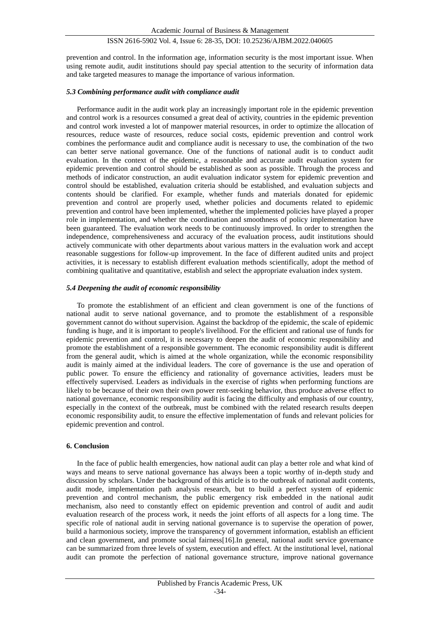prevention and control. In the information age, information security is the most important issue. When using remote audit, audit institutions should pay special attention to the security of information data and take targeted measures to manage the importance of various information.

#### *5.3 Combining performance audit with compliance audit*

Performance audit in the audit work play an increasingly important role in the epidemic prevention and control work is a resources consumed a great deal of activity, countries in the epidemic prevention and control work invested a lot of manpower material resources, in order to optimize the allocation of resources, reduce waste of resources, reduce social costs, epidemic prevention and control work combines the performance audit and compliance audit is necessary to use, the combination of the two can better serve national governance. One of the functions of national audit is to conduct audit evaluation. In the context of the epidemic, a reasonable and accurate audit evaluation system for epidemic prevention and control should be established as soon as possible. Through the process and methods of indicator construction, an audit evaluation indicator system for epidemic prevention and control should be established, evaluation criteria should be established, and evaluation subjects and contents should be clarified. For example, whether funds and materials donated for epidemic prevention and control are properly used, whether policies and documents related to epidemic prevention and control have been implemented, whether the implemented policies have played a proper role in implementation, and whether the coordination and smoothness of policy implementation have been guaranteed. The evaluation work needs to be continuously improved. In order to strengthen the independence, comprehensiveness and accuracy of the evaluation process, audit institutions should actively communicate with other departments about various matters in the evaluation work and accept reasonable suggestions for follow-up improvement. In the face of different audited units and project activities, it is necessary to establish different evaluation methods scientifically, adopt the method of combining qualitative and quantitative, establish and select the appropriate evaluation index system.

#### *5.4 Deepening the audit of economic responsibility*

To promote the establishment of an efficient and clean government is one of the functions of national audit to serve national governance, and to promote the establishment of a responsible government cannot do without supervision. Against the backdrop of the epidemic, the scale of epidemic funding is huge, and it is important to people's livelihood. For the efficient and rational use of funds for epidemic prevention and control, it is necessary to deepen the audit of economic responsibility and promote the establishment of a responsible government. The economic responsibility audit is different from the general audit, which is aimed at the whole organization, while the economic responsibility audit is mainly aimed at the individual leaders. The core of governance is the use and operation of public power. To ensure the efficiency and rationality of governance activities, leaders must be effectively supervised. Leaders as individuals in the exercise of rights when performing functions are likely to be because of their own their own power rent-seeking behavior, thus produce adverse effect to national governance, economic responsibility audit is facing the difficulty and emphasis of our country, especially in the context of the outbreak, must be combined with the related research results deepen economic responsibility audit, to ensure the effective implementation of funds and relevant policies for epidemic prevention and control.

#### **6. Conclusion**

In the face of public health emergencies, how national audit can play a better role and what kind of ways and means to serve national governance has always been a topic worthy of in-depth study and discussion by scholars. Under the background of this article is to the outbreak of national audit contents, audit mode, implementation path analysis research, but to build a perfect system of epidemic prevention and control mechanism, the public emergency risk embedded in the national audit mechanism, also need to constantly effect on epidemic prevention and control of audit and audit evaluation research of the process work, it needs the joint efforts of all aspects for a long time. The specific role of national audit in serving national governance is to supervise the operation of power, build a harmonious society, improve the transparency of government information, establish an efficient and clean government, and promote social fairness[16].In general, national audit service governance can be summarized from three levels of system, execution and effect. At the institutional level, national audit can promote the perfection of national governance structure, improve national governance